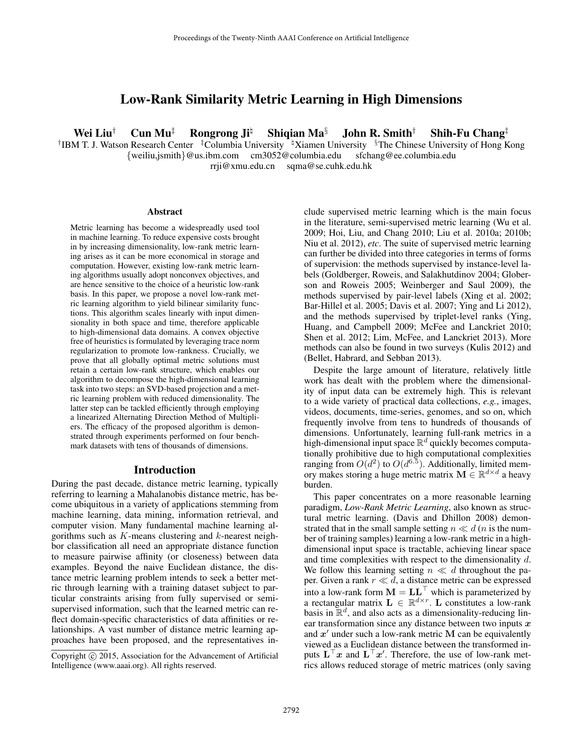# Low-Rank Similarity Metric Learning in High Dimensions

Wei Liu<sup>†</sup> Cun Mu<sup>‡</sup> Rongrong Ji<sup>‡</sup> Shiqian Ma<sup>§</sup> John R. Smith<sup>†</sup> Shih-Fu Chang<sup>‡</sup>

<sup>†</sup>IBM T. J. Watson Research Center <sup>‡</sup>Columbia University <sup>†</sup>Xiamen University §The Chinese University of Hong Kong {weiliu,jsmith}@us.ibm.com cm3052@columbia.edu sfchang@ee.columbia.edu

rrji@xmu.edu.cn sqma@se.cuhk.edu.hk

#### **Abstract**

Metric learning has become a widespreadly used tool in machine learning. To reduce expensive costs brought in by increasing dimensionality, low-rank metric learning arises as it can be more economical in storage and computation. However, existing low-rank metric learning algorithms usually adopt nonconvex objectives, and are hence sensitive to the choice of a heuristic low-rank basis. In this paper, we propose a novel low-rank metric learning algorithm to yield bilinear similarity functions. This algorithm scales linearly with input dimensionality in both space and time, therefore applicable to high-dimensional data domains. A convex objective free of heuristics is formulated by leveraging trace norm regularization to promote low-rankness. Crucially, we prove that all globally optimal metric solutions must retain a certain low-rank structure, which enables our algorithm to decompose the high-dimensional learning task into two steps: an SVD-based projection and a metric learning problem with reduced dimensionality. The latter step can be tackled efficiently through employing a linearized Alternating Direction Method of Multipliers. The efficacy of the proposed algorithm is demonstrated through experiments performed on four benchmark datasets with tens of thousands of dimensions.

#### Introduction

During the past decade, distance metric learning, typically referring to learning a Mahalanobis distance metric, has become ubiquitous in a variety of applications stemming from machine learning, data mining, information retrieval, and computer vision. Many fundamental machine learning algorithms such as  $K$ -means clustering and  $k$ -nearest neighbor classification all need an appropriate distance function to measure pairwise affinity (or closeness) between data examples. Beyond the naive Euclidean distance, the distance metric learning problem intends to seek a better metric through learning with a training dataset subject to particular constraints arising from fully supervised or semisupervised information, such that the learned metric can reflect domain-specific characteristics of data affinities or relationships. A vast number of distance metric learning approaches have been proposed, and the representatives include supervised metric learning which is the main focus in the literature, semi-supervised metric learning (Wu et al. 2009; Hoi, Liu, and Chang 2010; Liu et al. 2010a; 2010b; Niu et al. 2012), *etc*. The suite of supervised metric learning can further be divided into three categories in terms of forms of supervision: the methods supervised by instance-level labels (Goldberger, Roweis, and Salakhutdinov 2004; Globerson and Roweis 2005; Weinberger and Saul 2009), the methods supervised by pair-level labels (Xing et al. 2002; Bar-Hillel et al. 2005; Davis et al. 2007; Ying and Li 2012), and the methods supervised by triplet-level ranks (Ying, Huang, and Campbell 2009; McFee and Lanckriet 2010; Shen et al. 2012; Lim, McFee, and Lanckriet 2013). More methods can also be found in two surveys (Kulis 2012) and (Bellet, Habrard, and Sebban 2013).

Despite the large amount of literature, relatively little work has dealt with the problem where the dimensionality of input data can be extremely high. This is relevant to a wide variety of practical data collections, *e.g.*, images, videos, documents, time-series, genomes, and so on, which frequently involve from tens to hundreds of thousands of dimensions. Unfortunately, learning full-rank metrics in a high-dimensional input space  $\mathbb{R}^d$  quickly becomes computationally prohibitive due to high computational complexities ranging from  $O(d^2)$  to  $O(d^{6.5})$ . Additionally, limited memory makes storing a huge metric matrix  $\mathbf{M} \in \mathbb{R}^{d \times d}$  a heavy burden.

This paper concentrates on a more reasonable learning paradigm, *Low-Rank Metric Learning*, also known as structural metric learning. (Davis and Dhillon 2008) demonstrated that in the small sample setting  $n \ll d$  (*n* is the number of training samples) learning a low-rank metric in a highdimensional input space is tractable, achieving linear space and time complexities with respect to the dimensionality d. We follow this learning setting  $n \ll d$  throughout the paper. Given a rank  $r \ll d$ , a distance metric can be expressed into a low-rank form  $\mathbf{M} = \mathbf{L}\mathbf{L}^\top$  which is parameterized by a rectangular matrix  $\mathbf{L} \in \mathbb{R}^{d \times r}$ . L constitutes a low-rank basis in  $\mathbb{R}^d$ , and also acts as a dimensionality-reducing linear transformation since any distance between two inputs  $x$ and  $x'$  under such a low-rank metric M can be equivalently viewed as a Euclidean distance between the transformed inputs  $\mathbf{L}^\top \mathbf{x}$  and  $\mathbf{L}^\top \mathbf{x}'$ . Therefore, the use of low-rank metrics allows reduced storage of metric matrices (only saving

Copyright (c) 2015, Association for the Advancement of Artificial Intelligence (www.aaai.org). All rights reserved.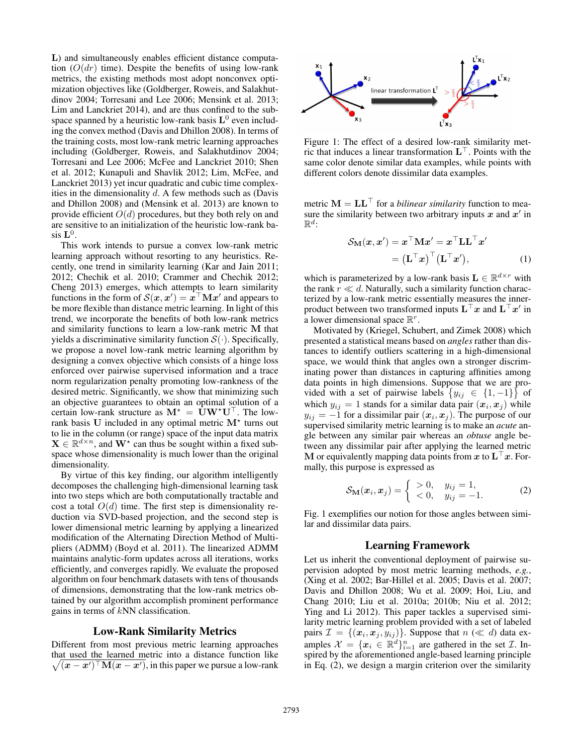L) and simultaneously enables efficient distance computation  $(O(dr)$  time). Despite the benefits of using low-rank metrics, the existing methods most adopt nonconvex optimization objectives like (Goldberger, Roweis, and Salakhutdinov 2004; Torresani and Lee 2006; Mensink et al. 2013; Lim and Lanckriet 2014), and are thus confined to the subspace spanned by a heuristic low-rank basis  $L^0$  even including the convex method (Davis and Dhillon 2008). In terms of the training costs, most low-rank metric learning approaches including (Goldberger, Roweis, and Salakhutdinov 2004; Torresani and Lee 2006; McFee and Lanckriet 2010; Shen et al. 2012; Kunapuli and Shavlik 2012; Lim, McFee, and Lanckriet 2013) yet incur quadratic and cubic time complexities in the dimensionality  $d$ . A few methods such as (Davis and Dhillon 2008) and (Mensink et al. 2013) are known to provide efficient  $O(d)$  procedures, but they both rely on and are sensitive to an initialization of the heuristic low-rank basis  $\mathbf{L}^0$ .

This work intends to pursue a convex low-rank metric learning approach without resorting to any heuristics. Recently, one trend in similarity learning (Kar and Jain 2011; 2012; Chechik et al. 2010; Crammer and Chechik 2012; Cheng 2013) emerges, which attempts to learn similarity functions in the form of  $\mathcal{S}(x, x') = x^\top \mathbf{M} x'$  and appears to be more flexible than distance metric learning. In light of this trend, we incorporate the benefits of both low-rank metrics and similarity functions to learn a low-rank metric M that yields a discriminative similarity function  $S(\cdot)$ . Specifically, we propose a novel low-rank metric learning algorithm by designing a convex objective which consists of a hinge loss enforced over pairwise supervised information and a trace norm regularization penalty promoting low-rankness of the desired metric. Significantly, we show that minimizing such an objective guarantees to obtain an optimal solution of a certain low-rank structure as  $M^* = UW^*U^{\top}$ . The lowrank basis U included in any optimal metric  $M^*$  turns out to lie in the column (or range) space of the input data matrix  $X \in \mathbb{R}^{d \times n}$ , and  $W^{\star}$  can thus be sought within a fixed subspace whose dimensionality is much lower than the original dimensionality.

By virtue of this key finding, our algorithm intelligently decomposes the challenging high-dimensional learning task into two steps which are both computationally tractable and cost a total  $O(d)$  time. The first step is dimensionality reduction via SVD-based projection, and the second step is lower dimensional metric learning by applying a linearized modification of the Alternating Direction Method of Multipliers (ADMM) (Boyd et al. 2011). The linearized ADMM maintains analytic-form updates across all iterations, works efficiently, and converges rapidly. We evaluate the proposed algorithm on four benchmark datasets with tens of thousands of dimensions, demonstrating that the low-rank metrics obtained by our algorithm accomplish prominent performance gains in terms of  $kNN$  classification.

#### Low-Rank Similarity Metrics

Different from most previous metric learning approaches that used the learned metric into a distance function like  $\sqrt{(x-x')^{\top}M(x-x')}$ , in this paper we pursue a low-rank



Figure 1: The effect of a desired low-rank similarity metric that induces a linear transformation  $L^{\top}$ . Points with the same color denote similar data examples, while points with different colors denote dissimilar data examples.

metric  $M = LL^\top$  for a *bilinear similarity* function to measure the similarity between two arbitrary inputs  $x$  and  $x'$  in  $\mathbb{R}^d$ :

$$
S_{\mathbf{M}}(\mathbf{x}, \mathbf{x}') = \mathbf{x}^{\top} \mathbf{M} \mathbf{x}' = \mathbf{x}^{\top} \mathbf{L} \mathbf{L}^{\top} \mathbf{x}'
$$

$$
= (\mathbf{L}^{\top} \mathbf{x})^{\top} (\mathbf{L}^{\top} \mathbf{x}'), \tag{1}
$$

which is parameterized by a low-rank basis  $\mathbf{L} \in \mathbb{R}^{d \times r}$  with the rank  $r \ll d$ . Naturally, such a similarity function characterized by a low-rank metric essentially measures the innerproduct between two transformed inputs  $\mathbf{L}^\top \mathbf{x}$  and  $\mathbf{L}^\top \mathbf{x}'$  in a lower dimensional space  $\mathbb{R}^r$ .

Motivated by (Kriegel, Schubert, and Zimek 2008) which presented a statistical means based on *angles* rather than distances to identify outliers scattering in a high-dimensional space, we would think that angles own a stronger discriminating power than distances in capturing affinities among data points in high dimensions. Suppose that we are provided with a set of pairwise labels  $\{y_{ij} \in \{1, -1\}\}\$ of which  $y_{ij} = 1$  stands for a similar data pair  $(x_i, x_j)$  while  $y_{ij} = -1$  for a dissimilar pair  $(x_i, x_j)$ . The purpose of our supervised similarity metric learning is to make an *acute* angle between any similar pair whereas an *obtuse* angle between any dissimilar pair after applying the learned metric M or equivalently mapping data points from x to  $L^\top x$ . Formally, this purpose is expressed as

$$
S_{\mathbf{M}}(\boldsymbol{x}_i, \boldsymbol{x}_j) = \begin{cases} > 0, & y_{ij} = 1, \\ < 0, & y_{ij} = -1. \end{cases} \tag{2}
$$

Fig. 1 exemplifies our notion for those angles between similar and dissimilar data pairs.

## Learning Framework

Let us inherit the conventional deployment of pairwise supervision adopted by most metric learning methods, *e.g.*, (Xing et al. 2002; Bar-Hillel et al. 2005; Davis et al. 2007; Davis and Dhillon 2008; Wu et al. 2009; Hoi, Liu, and Chang 2010; Liu et al. 2010a; 2010b; Niu et al. 2012; Ying and Li 2012). This paper tackles a supervised similarity metric learning problem provided with a set of labeled pairs  $\mathcal{I} = \{(\boldsymbol{x}_i, \boldsymbol{x}_j, y_{ij})\}\$ . Suppose that  $n \ll d$ ) data examples  $\mathcal{X} = \{x_i \in \mathbb{R}^d\}_{i=1}^n$  are gathered in the set  $\mathcal{I}$ . Inspired by the aforementioned angle-based learning principle in Eq. (2), we design a margin criterion over the similarity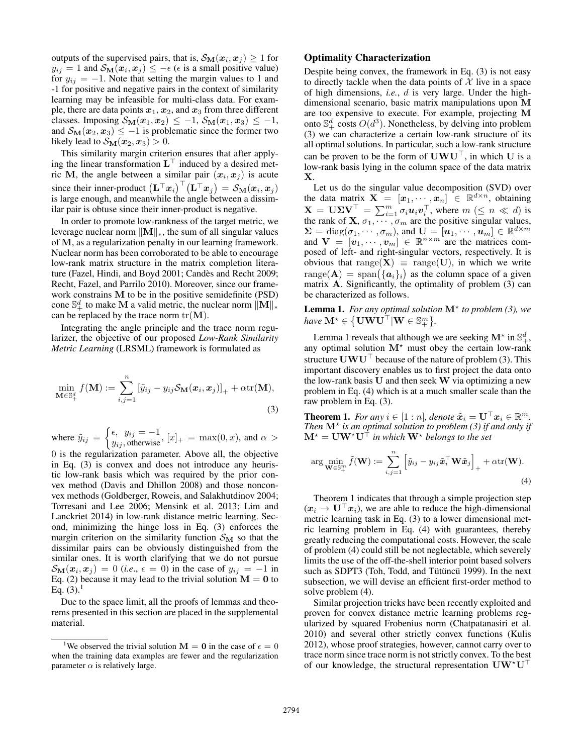outputs of the supervised pairs, that is,  $\mathcal{S}_{\mathbf{M}}(x_i, x_j) \geq 1$  for  $y_{ij} = 1$  and  $\mathcal{S}_{\mathbf{M}}(\mathbf{x}_i, \mathbf{x}_j) \leq -\epsilon$  ( $\epsilon$  is a small positive value) for  $y_{ij} = -1$ . Note that setting the margin values to 1 and -1 for positive and negative pairs in the context of similarity learning may be infeasible for multi-class data. For example, there are data points  $x_1, x_2$ , and  $x_3$  from three different classes. Imposing  $S_M(x_1, x_2) \le -1$ ,  $S_M(x_1, x_3) \le -1$ , and  $S_M(x_2, x_3) \leq -1$  is problematic since the former two likely lead to  $S_M(x_2, x_3) > 0$ .

This similarity margin criterion ensures that after applying the linear transformation  $L^{\top}$  induced by a desired metric M, the angle between a similar pair  $(x_i, x_j)$  is acute since their inner-product  $(\mathbf{L}^\top \bm{x}_i)^\top (\mathbf{L}^\top \bm{x}_j) = \mathcal{S}_{\mathbf{M}}(\bm{x}_i, \bm{x}_j)$ is large enough, and meanwhile the angle between a dissimilar pair is obtuse since their inner-product is negative.

In order to promote low-rankness of the target metric, we leverage nuclear norm  $\|\mathbf{M}\|_{*}$ , the sum of all singular values of M, as a regularization penalty in our learning framework. Nuclear norm has been corroborated to be able to encourage low-rank matrix structure in the matrix completion literature (Fazel, Hindi, and Boyd 2001; Candes and Recht 2009; ` Recht, Fazel, and Parrilo 2010). Moreover, since our framework constrains M to be in the positive semidefinite (PSD) cone  $\mathbb{S}^d_+$  to make M a valid metric, the nuclear norm  $\|\mathbf{M}\|_*$ can be replaced by the trace norm  $tr(\mathbf{M})$ .

Integrating the angle principle and the trace norm regularizer, the objective of our proposed *Low-Rank Similarity Metric Learning* (LRSML) framework is formulated as

$$
\min_{\mathbf{M}\in\mathbb{S}_{+}^{d}} f(\mathbf{M}) := \sum_{i,j=1}^{n} \left[ \tilde{y}_{ij} - y_{ij} \mathcal{S}_{\mathbf{M}}(\boldsymbol{x}_{i}, \boldsymbol{x}_{j}) \right]_{+} + \alpha \text{tr}(\mathbf{M}),
$$
\n(3)

where  $\tilde{y}_{ij} = \begin{cases} \epsilon, & y_{ij} = -1 \\ y_{ij} & \text{otherwise} \end{cases}$ ,  $[x]_+ = \max(0, x)$ , and  $\alpha >$ 

0 is the regularization parameter. Above all, the objective in Eq. (3) is convex and does not introduce any heuristic low-rank basis which was required by the prior convex method (Davis and Dhillon 2008) and those nonconvex methods (Goldberger, Roweis, and Salakhutdinov 2004; Torresani and Lee 2006; Mensink et al. 2013; Lim and Lanckriet 2014) in low-rank distance metric learning. Second, minimizing the hinge loss in Eq. (3) enforces the margin criterion on the similarity function  $\mathcal{S}_{\mathbf{M}}$  so that the dissimilar pairs can be obviously distinguished from the similar ones. It is worth clarifying that we do not pursue  $S_M(x_i, x_j) = 0$  (*i.e.*,  $\epsilon = 0$ ) in the case of  $y_{ij} = -1$  in Eq. (2) because it may lead to the trivial solution  $M = 0$  to Eq.  $(3).<sup>1</sup>$ 

Due to the space limit, all the proofs of lemmas and theorems presented in this section are placed in the supplemental material.

### Optimality Characterization

Despite being convex, the framework in Eq. (3) is not easy to directly tackle when the data points of  $X$  live in a space of high dimensions, *i.e.*, d is very large. Under the highdimensional scenario, basic matrix manipulations upon M are too expensive to execute. For example, projecting M onto  $\mathbb{S}^d_+$  costs  $O(d^3)$ . Nonetheless, by delving into problem (3) we can characterize a certain low-rank structure of its all optimal solutions. In particular, such a low-rank structure can be proven to be the form of  $\mathbf{U}\mathbf{W}\mathbf{U}^{\top}$ , in which U is a low-rank basis lying in the column space of the data matrix X.

Let us do the singular value decomposition (SVD) over the data matrix  $\mathbf{X} = [x_1, \dots, x_n] \in \mathbb{R}^{d \times n}$ , obtaining  $\mathbf{X} = \mathbf{U} \mathbf{\Sigma} \mathbf{V}^{\top} = \sum_{i=1}^{m} \sigma_i \mathbf{u}_i \mathbf{v}_i^{\top}$ , where  $m \ (\leq n \ll d)$  is the rank of **X**,  $\sigma_1, \cdots, \sigma_m$  are the positive singular values,  $\Sigma = \text{diag}(\sigma_1, \dots, \sigma_m)$ , and  $\mathbf{U} = [\boldsymbol{u}_1, \dots, \boldsymbol{u}_m] \in \mathbb{R}^{d \times m}$ and  $\mathbf{V} = [\mathbf{v}_1, \cdots, \mathbf{v}_m] \in \mathbb{R}^{n \times m}$  are the matrices composed of left- and right-singular vectors, respectively. It is obvious that range( $X$ )  $\equiv$  range(U), in which we write  $\text{range}(\mathbf{A}) = \text{span}(\{\boldsymbol{a}_i\}_i)$  as the column space of a given matrix A. Significantly, the optimality of problem (3) can be characterized as follows.

Lemma 1. For any optimal solution  $M^*$  to problem (3), we  $\textit{have } \mathbf{M}^{\star} \in \big\{ \mathbf{U} \mathbf{W} \mathbf{U}^{\top} | \mathbf{W} \in \mathbb{S}^m_+ \big\}.$ 

Lemma 1 reveals that although we are seeking  $\mathbf{M}^{\star}$  in  $\mathbb{S}_{+}^{d}$ , any optimal solution  $M^*$  must obey the certain low-rank structure  $\mathbf{U}\mathbf{W}\mathbf{U}^{\top}$  because of the nature of problem (3). This important discovery enables us to first project the data onto the low-rank basis  $U$  and then seek  $W$  via optimizing a new problem in Eq. (4) which is at a much smaller scale than the raw problem in Eq. (3).

**Theorem 1.** For any  $i \in [1:n]$ , denote  $\tilde{x}_i = \mathbf{U}^\top \mathbf{x}_i \in \mathbb{R}^m$ . Then  $M^*$  is an optimal solution to problem (3) if and only if  $M^* = UW^*U^{\dagger}$  *in which*  $W^*$  *belongs to the set* 

$$
\arg\min_{\mathbf{W}\in\mathbb{S}_{+}^{m}}\tilde{f}(\mathbf{W}) := \sum_{i,j=1}^{n}\left[\tilde{y}_{ij} - y_{ij}\tilde{\boldsymbol{x}}_{i}^{\top}\mathbf{W}\tilde{\boldsymbol{x}}_{j}\right]_{+} + \alpha \text{tr}(\mathbf{W}).
$$
\n(4)

Theorem 1 indicates that through a simple projection step  $(x_i \rightarrow U^{\top} x_i)$ , we are able to reduce the high-dimensional metric learning task in Eq. (3) to a lower dimensional metric learning problem in Eq. (4) with guarantees, thereby greatly reducing the computational costs. However, the scale of problem (4) could still be not neglectable, which severely limits the use of the off-the-shell interior point based solvers such as SDPT3 (Toh, Todd, and Tütüncü 1999). In the next subsection, we will devise an efficient first-order method to solve problem (4).

Similar projection tricks have been recently exploited and proven for convex distance metric learning problems regularized by squared Frobenius norm (Chatpatanasiri et al. 2010) and several other strictly convex functions (Kulis 2012), whose proof strategies, however, cannot carry over to trace norm since trace norm is not strictly convex. To the best of our knowledge, the structural representation  $\mathbf{U}\mathbf{W}^{\star}\mathbf{U}^{\top}$ 

<sup>&</sup>lt;sup>1</sup>We observed the trivial solution  $M = 0$  in the case of  $\epsilon = 0$ when the training data examples are fewer and the regularization parameter  $\alpha$  is relatively large.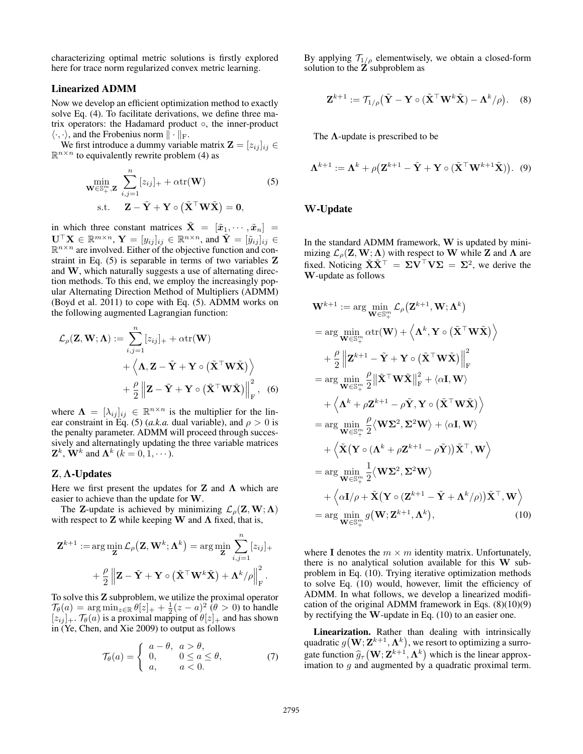characterizing optimal metric solutions is firstly explored here for trace norm regularized convex metric learning.

# Linearized ADMM

Now we develop an efficient optimization method to exactly solve Eq. (4). To facilitate derivations, we define three matrix operators: the Hadamard product ◦, the inner-product  $\langle \cdot, \cdot \rangle$ , and the Frobenius norm  $\| \cdot \|_{\text{F}}$ .

We first introduce a dummy variable matrix  $\mathbf{Z} = [z_{ij}]_{ij} \in$  $\mathbb{R}^{n \times n}$  to equivalently rewrite problem (4) as

$$
\min_{\mathbf{W}\in\mathbb{S}_{+}^{m},\mathbf{Z}}\sum_{i,j=1}^{n}[z_{ij}]_{+}+\alpha\mathrm{tr}(\mathbf{W})
$$
\n
$$
\text{s.t.}\quad \mathbf{Z}-\tilde{\mathbf{Y}}+\mathbf{Y}\circ(\tilde{\mathbf{X}}^{\top}\mathbf{W}\tilde{\mathbf{X}})=\mathbf{0},
$$
\n(5)

in which three constant matrices  $\tilde{\mathbf{X}} = [\tilde{x}_1, \cdots, \tilde{x}_n] =$  $\mathbf{U}^\top \mathbf{X} \in \mathbb{R}^{m \times n},$   $\mathbf{Y} = [y_{ij}]_{ij} \in \mathbb{R}^{n \times n}$ , and  $\tilde{\mathbf{Y}} = [\tilde{y}_{ij}]_{ij} \in$  $\mathbb{R}^{n \times n}$  are involved. Either of the objective function and constraint in Eq. (5) is separable in terms of two variables Z and W, which naturally suggests a use of alternating direction methods. To this end, we employ the increasingly popular Alternating Direction Method of Multipliers (ADMM) (Boyd et al. 2011) to cope with Eq. (5). ADMM works on the following augmented Lagrangian function:

$$
\mathcal{L}_{\rho}(\mathbf{Z}, \mathbf{W}; \Lambda) := \sum_{i,j=1}^{n} [z_{ij}]_{+} + \alpha \text{tr}(\mathbf{W})
$$

$$
+ \left\langle \mathbf{\Lambda}, \mathbf{Z} - \tilde{\mathbf{Y}} + \mathbf{Y} \circ (\tilde{\mathbf{X}}^{\top} \mathbf{W} \tilde{\mathbf{X}}) \right\rangle
$$

$$
+ \frac{\rho}{2} \left\| \mathbf{Z} - \tilde{\mathbf{Y}} + \mathbf{Y} \circ (\tilde{\mathbf{X}}^{\top} \mathbf{W} \tilde{\mathbf{X}}) \right\|_{\text{F}}^{2}, \quad (6)
$$

where  $\mathbf{\Lambda} = [\lambda_{ij}]_{ij} \in \mathbb{R}^{n \times n}$  is the multiplier for the linear constraint in Eq. (5) (*a.k.a.* dual variable), and  $\rho > 0$  is the penalty parameter. ADMM will proceed through successively and alternatingly updating the three variable matrices  $\mathbf{Z}^k$ ,  $\mathbf{W}^k$  and  $\mathbf{\Lambda}^k$  ( $k = 0, 1, \cdots$ ).

## Z, Λ-Updates

Here we first present the updates for **Z** and  $\Lambda$  which are easier to achieve than the update for W.

The Z-update is achieved by minimizing  $\mathcal{L}_{\rho}(\mathbf{Z}, \mathbf{W}; \Lambda)$ with respect to **Z** while keeping **W** and  $\Lambda$  fixed, that is,

$$
\mathbf{Z}^{k+1} := \arg\min_{\mathbf{Z}} \mathcal{L}_{\rho}(\mathbf{Z}, \mathbf{W}^k; \mathbf{\Lambda}^k) = \arg\min_{\mathbf{Z}} \sum_{i,j=1}^n [z_{ij}]_+ + \frac{\rho}{2} ||\mathbf{Z} - \tilde{\mathbf{Y}} + \mathbf{Y} \circ (\tilde{\mathbf{X}}^\top \mathbf{W}^k \tilde{\mathbf{X}}) + \mathbf{\Lambda}^k / \rho ||_F^2.
$$

To solve this Z subproblem, we utilize the proximal operator  $\mathcal{T}_{\theta}(a) = \arg \min_{z \in \mathbb{R}} \theta[z]_{+} + \frac{1}{2}(z - a)^{2} (\theta > 0)$  to handle  $[z_{ij}]_+$ .  $\mathcal{T}_{\theta}(a)$  is a proximal mapping of  $\theta[z]_+$  and has shown in (Ye, Chen, and Xie 2009) to output as follows

$$
\mathcal{T}_{\theta}(a) = \begin{cases}\n a - \theta, & a > \theta, \\
0, & 0 \le a \le \theta, \\
a, & a < 0.\n\end{cases}
$$
\n(7)

By applying  $T_{1/\rho}$  elementwisely, we obtain a closed-form solution to the Z subproblem as

$$
\mathbf{Z}^{k+1} := \mathcal{T}_{1/\rho}(\tilde{\mathbf{Y}} - \mathbf{Y} \circ (\tilde{\mathbf{X}}^\top \mathbf{W}^k \tilde{\mathbf{X}}) - \mathbf{\Lambda}^k/\rho). \quad (8)
$$

The  $\Lambda$ -update is prescribed to be

$$
\mathbf{\Lambda}^{k+1} := \mathbf{\Lambda}^k + \rho \big( \mathbf{Z}^{k+1} - \tilde{\mathbf{Y}} + \mathbf{Y} \circ (\tilde{\mathbf{X}}^\top \mathbf{W}^{k+1} \tilde{\mathbf{X}}) \big).
$$
 (9)

# W-Update

In the standard ADMM framework,  $W$  is updated by minimizing  $\mathcal{L}_{o}(\mathbf{Z}, \mathbf{W}; \Lambda)$  with respect to W while Z and  $\Lambda$  are fixed. Noticing  $\tilde{\mathbf{X}} \tilde{\mathbf{X}}^{\top} = \boldsymbol{\Sigma} \mathbf{V}^{\top} \mathbf{V} \boldsymbol{\Sigma} = \boldsymbol{\Sigma}^2$ , we derive the W-update as follows

$$
\mathbf{W}^{k+1} := \arg \min_{\mathbf{W} \in \mathbb{S}_{+}^{m}} \mathcal{L}_{\rho}(\mathbf{Z}^{k+1}, \mathbf{W}; \Lambda^{k})
$$
\n
$$
= \arg \min_{\mathbf{W} \in \mathbb{S}_{+}^{m}} \alpha \text{tr}(\mathbf{W}) + \left\langle \Lambda^{k}, \mathbf{Y} \circ (\tilde{\mathbf{X}}^{\top} \mathbf{W} \tilde{\mathbf{X}}) \right\rangle
$$
\n
$$
+ \frac{\rho}{2} \left\| \mathbf{Z}^{k+1} - \tilde{\mathbf{Y}} + \mathbf{Y} \circ (\tilde{\mathbf{X}}^{\top} \mathbf{W} \tilde{\mathbf{X}}) \right\|_{\text{F}}^{2}
$$
\n
$$
= \arg \min_{\mathbf{W} \in \mathbb{S}_{+}^{m}} \frac{\rho}{2} \left\| \tilde{\mathbf{X}}^{\top} \mathbf{W} \tilde{\mathbf{X}} \right\|_{\text{F}}^{2} + \left\langle \alpha \mathbf{I}, \mathbf{W} \right\rangle
$$
\n
$$
+ \left\langle \Lambda^{k} + \rho \mathbf{Z}^{k+1} - \rho \tilde{\mathbf{Y}}, \mathbf{Y} \circ (\tilde{\mathbf{X}}^{\top} \mathbf{W} \tilde{\mathbf{X}}) \right\rangle
$$
\n
$$
= \arg \min_{\mathbf{W} \in \mathbb{S}_{+}^{m}} \frac{\rho}{2} \left\langle \mathbf{W} \Sigma^{2}, \Sigma^{2} \mathbf{W} \right\rangle + \left\langle \alpha \mathbf{I}, \mathbf{W} \right\rangle
$$
\n
$$
= \arg \min_{\mathbf{W} \in \mathbb{S}_{+}^{m}} \frac{1}{2} \left\langle \mathbf{W} \Sigma^{2}, \Sigma^{2} \mathbf{W} \right\rangle
$$
\n
$$
+ \left\langle \alpha \mathbf{I}/\rho + \tilde{\mathbf{X}} \left( \mathbf{Y} \circ (\mathbf{Z}^{k+1} - \tilde{\mathbf{Y}} + \Lambda^{k}/\rho) \right) \tilde{\mathbf{X}}^{\top}, \mathbf{W} \right\rangle
$$
\n
$$
= \arg \min_{\mathbf{W} \in \mathbb{S}_{+}^{m}}
$$

where I denotes the  $m \times m$  identity matrix. Unfortunately, there is no analytical solution available for this W subproblem in Eq. (10). Trying iterative optimization methods to solve Eq. (10) would, however, limit the efficiency of ADMM. In what follows, we develop a linearized modification of the original ADMM framework in Eqs. (8)(10)(9) by rectifying the W-update in Eq. (10) to an easier one.

Linearization. Rather than dealing with intrinsically quadratic  $g(\mathbf{W};\mathbf{Z}^{k+1},\mathbf{\Lambda}^k)$ , we resort to optimizing a surrogate function  $\hat{g}_{\tau}(\mathbf{W}; \mathbf{Z}^{k+1}, \mathbf{\Lambda}^k)$  which is the linear approx-<br>imation to a and augmented by a quadratic proximal term imation to  $g$  and augmented by a quadratic proximal term.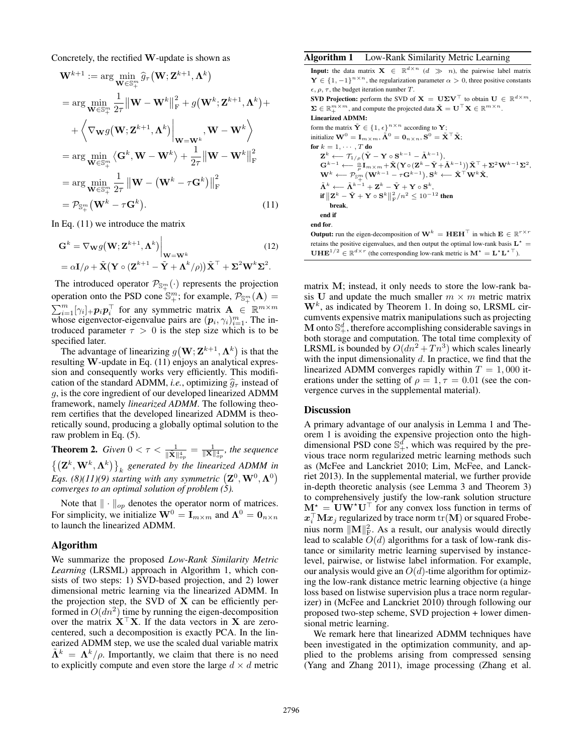Concretely, the rectified W-update is shown as

$$
\mathbf{W}^{k+1} := \arg \min_{\mathbf{W} \in \mathbb{S}_{+}^{m}} \hat{g}_{\tau}(\mathbf{W}; \mathbf{Z}^{k+1}, \mathbf{\Lambda}^{k})
$$
  
\n
$$
= \arg \min_{\mathbf{W} \in \mathbb{S}_{+}^{m}} \frac{1}{2\tau} ||\mathbf{W} - \mathbf{W}^{k}||_{\mathbf{F}}^{2} + g(\mathbf{W}^{k}; \mathbf{Z}^{k+1}, \mathbf{\Lambda}^{k}) +
$$
  
\n
$$
+ \left\langle \nabla_{\mathbf{W}} g(\mathbf{W}; \mathbf{Z}^{k+1}, \mathbf{\Lambda}^{k}) \Big|_{\mathbf{W} = \mathbf{W}^{k}}, \mathbf{W} - \mathbf{W}^{k} \right\rangle
$$
  
\n
$$
= \arg \min_{\mathbf{W} \in \mathbb{S}_{+}^{m}} \left\langle \mathbf{G}^{k}, \mathbf{W} - \mathbf{W}^{k} \right\rangle + \frac{1}{2\tau} ||\mathbf{W} - \mathbf{W}^{k}||_{\mathbf{F}}^{2}
$$
  
\n
$$
= \arg \min_{\mathbf{W} \in \mathbb{S}_{+}^{m}} \frac{1}{2\tau} ||\mathbf{W} - (\mathbf{W}^{k} - \tau \mathbf{G}^{k})||_{\mathbf{F}}^{2}
$$
  
\n
$$
= \mathcal{P}_{\mathbb{S}_{+}^{m}}(\mathbf{W}^{k} - \tau \mathbf{G}^{k}). \tag{11}
$$

In Eq. (11) we introduce the matrix

$$
\mathbf{G}^{k} = \nabla_{\mathbf{W}} g(\mathbf{W}; \mathbf{Z}^{k+1}, \mathbf{\Lambda}^{k}) \Big|_{\mathbf{W} = \mathbf{W}^{k}}
$$
(12)  
=  $\alpha \mathbf{I}/\rho + \tilde{\mathbf{X}} (\mathbf{Y} \circ (\mathbf{Z}^{k+1} - \tilde{\mathbf{Y}} + \mathbf{\Lambda}^{k}/\rho)) \tilde{\mathbf{X}}^{\top} + \mathbf{\Sigma}^{2} \mathbf{W}^{k} \mathbf{\Sigma}^{2}.$ 

The introduced operator  $\mathcal{P}_{\mathbb{S}_{+}^{m}}(\cdot)$  represents the projection operation onto the PSD cone  $\mathbb{S}_{+}^{m}$ ; for example,  $\mathcal{P}_{\mathbb{S}_{+}^{m}}(\mathbf{A}) =$  $\sum_{i=1}^{m} [\gamma_i]_+ \mathbf{p}_i \mathbf{p}_i^{\top}$  for any symmetric matrix  $\mathbf{A} \in \mathbb{R}^{m \times m}$ whose eigenvector-eigenvalue pairs are  $(p_i, \gamma_i)_{i=1}^m$ . The introduced parameter  $\tau > 0$  is the step size which is to be specified later.

The advantage of linearizing  $g(\mathbf{W}; \mathbf{Z}^{k+1}, \mathbf{\Lambda}^k)$  is that the resulting W-update in Eq. (11) enjoys an analytical expression and consequently works very efficiently. This modification of the standard ADMM, *i.e.*, optimizing  $\hat{q}_{\tau}$  instead of g, is the core ingredient of our developed linearized ADMM framework, namely *linearized ADMM*. The following theorem certifies that the developed linearized ADMM is theoretically sound, producing a globally optimal solution to the raw problem in Eq. (5).

**Theorem 2.** *Given*  $0 < \tau < \frac{1}{\|\tilde{\mathbf{X}}\|_{op}^4} = \frac{1}{\|\mathbf{X}\|_{op}^4}$ , the sequence  $\left\{\left(\mathbf{Z}^k, \mathbf{W}^k, \mathbf{\Lambda}^k\right)\right\}_k$  generated by the linearized ADMM in *Eqs.* (8)(11)(9) starting with any symmetric  $(\mathbf{Z}^0, \mathbf{W}^0, \mathbf{\Lambda}^0)$ *converges to an optimal solution of problem (5).*

Note that  $\|\cdot\|_{op}$  denotes the operator norm of matrices. For simplicity, we initialize  $\mathbf{W}^0 = \mathbf{I}_{m \times m}$  and  $\mathbf{\Lambda}^0 = \mathbf{0}_{n \times n}$ to launch the linearized ADMM.

#### Algorithm

We summarize the proposed *Low-Rank Similarity Metric Learning* (LRSML) approach in Algorithm 1, which consists of two steps: 1) SVD-based projection, and 2) lower dimensional metric learning via the linearized ADMM. In the projection step, the SVD of X can be efficiently performed in  $O(dn^2)$  time by running the eigen-decomposition over the matrix  $X^{\top}X$ . If the data vectors in X are zerocentered, such a decomposition is exactly PCA. In the linearized ADMM step, we use the scaled dual variable matrix  $\tilde{\Lambda}^k = \Lambda^k/\rho$ . Importantly, we claim that there is no need to explicitly compute and even store the large  $d \times d$  metric

#### Algorithm 1 Low-Rank Similarity Metric Learning

**Input:** the data matrix  $X \in \mathbb{R}^{d \times n}$  ( $d \gg n$ ), the pairwise label matrix  $\mathbf{Y} \in \{1, -1\}^{n \times n}$ , the regularization parameter  $\alpha > 0$ , three positive constants  $\epsilon$ ,  $\rho$ ,  $\tau$ , the budget iteration number T.

SVD Projection: perform the SVD of  $\mathbf{X} = \mathbf{U} \boldsymbol{\Sigma} \mathbf{V}^{\top}$  to obtain  $\mathbf{U} \in \mathbb{R}^{d \times m}$ ,  $\boldsymbol{\Sigma} \in \mathbb{R}_+^{m \times m}$ , and compute the projected data  $\tilde{\mathbf{X}} = \mathbf{U}^\top \mathbf{X} \in \mathbb{R}^{m \times n}$ .

Linearized ADMM:

form the matrix  $\tilde{\mathbf{Y}} \in \{1, \epsilon\}^{n \times n}$  according to  $\mathbf{Y}$ ; initialize  $\mathbf{W}^{0} = \mathbf{I}_{m \times m}$ ,  $\tilde{\mathbf{\Lambda}}^{0} = \mathbf{0}_{n \times n}$ ,  $\mathbf{S}^{0} = \tilde{\mathbf{X}}^{\top} \tilde{\mathbf{X}}$ ; for  $k = 1, \cdots, T$  do  $\mathbf{Z}^k \longleftarrow \mathcal{T}_{1/\rho} \big( \tilde{\mathbf{Y}} - \mathbf{Y} \circ \mathbf{S}^{k-1} - \tilde{\mathbf{\Lambda}}^{k-1} \big),$  $\mathbf{G}^{k-1} \longleftarrow \frac{\alpha}{\rho} \mathbf{I}_{m \times m} \!+\! \tilde{\mathbf{X}} \big(\mathbf{Y} \! \circ \! (\mathbf{Z}^k \!-\! \tilde{\mathbf{Y}} \!+\! \tilde{\mathbf{\Lambda}}^{k-1} ) \big) \tilde{\mathbf{X}}^\top \!+\! \mathbf{\Sigma}^2 \mathbf{W}^{k-1} \mathbf{\Sigma}^2,$  $\mathbf{W}^k \longleftarrow \mathcal{P}_{\mathbb{S}_+^m}\big( \mathbf{W}^{k-1}-\tau \mathbf{G}^{k-1} \big), \mathbf{S}^k \longleftarrow \tilde{\mathbf{X}}^\top \mathbf{W}^k \tilde{\mathbf{X}},$  $\tilde{\mathbf{\Lambda}}^{k} \longleftarrow \tilde{\mathbf{\Lambda}}^{k-1} + \mathbf{Z}^{k} - \tilde{\mathbf{Y}} + \mathbf{Y} \circ \mathbf{S}^{k},$ if  $\|\mathbf{Z}^k - \tilde{\mathbf{Y}} + \mathbf{Y} \circ \mathbf{S}^k\|_{\text{F}}^2/n^2 \leq 10^{-12}$  then break, end if end for.

**Output:** run the eigen-decomposition of  $W^k = HEH^{\top}$  in which  $E \in \mathbb{R}^{r \times r}$ retains the positive eigenvalues, and then output the optimal low-rank basis  $L^*$  =  $UHE^{1/2} \in \mathbb{R}^{d \times r}$  (the corresponding low-rank metric is  $M^* = L^*L^{*T}$ ).

matrix M; instead, it only needs to store the low-rank basis U and update the much smaller  $m \times m$  metric matrix  $W<sup>k</sup>$ , as indicated by Theorem 1. In doing so, LRSML circumvents expensive matrix manipulations such as projecting M onto  $\mathbb{S}^d_+$ , therefore accomplishing considerable savings in both storage and computation. The total time complexity of LRSML is bounded by  $O(dn^2 + Tn^3)$  which scales linearly with the input dimensionality  $d$ . In practice, we find that the linearized ADMM converges rapidly within  $T = 1,000$  iterations under the setting of  $\rho = 1, \tau = 0.01$  (see the convergence curves in the supplemental material).

### **Discussion**

A primary advantage of our analysis in Lemma 1 and Theorem 1 is avoiding the expensive projection onto the highdimensional PSD cone  $\mathbb{S}^d_+$ , which was required by the previous trace norm regularized metric learning methods such as (McFee and Lanckriet 2010; Lim, McFee, and Lanckriet 2013). In the supplemental material, we further provide in-depth theoretic analysis (see Lemma 3 and Theorem 3) to comprehensively justify the low-rank solution structure  $M^* = UW^*U^\top$  for any convex loss function in terms of  $\boldsymbol{x}_i^\top \mathbf{M} \boldsymbol{x}_j$  regularized by trace norm  $\mathrm{tr}(\mathbf{M})$  or squared Frobenius norm  $\|\mathbf{M}\|_{\text{F}}^2$ . As a result, our analysis would directly lead to scalable  $O(d)$  algorithms for a task of low-rank distance or similarity metric learning supervised by instancelevel, pairwise, or listwise label information. For example, our analysis would give an  $O(d)$ -time algorithm for optimizing the low-rank distance metric learning objective (a hinge loss based on listwise supervision plus a trace norm regularizer) in (McFee and Lanckriet 2010) through following our proposed two-step scheme, SVD projection + lower dimensional metric learning.

We remark here that linearized ADMM techniques have been investigated in the optimization community, and applied to the problems arising from compressed sensing (Yang and Zhang 2011), image processing (Zhang et al.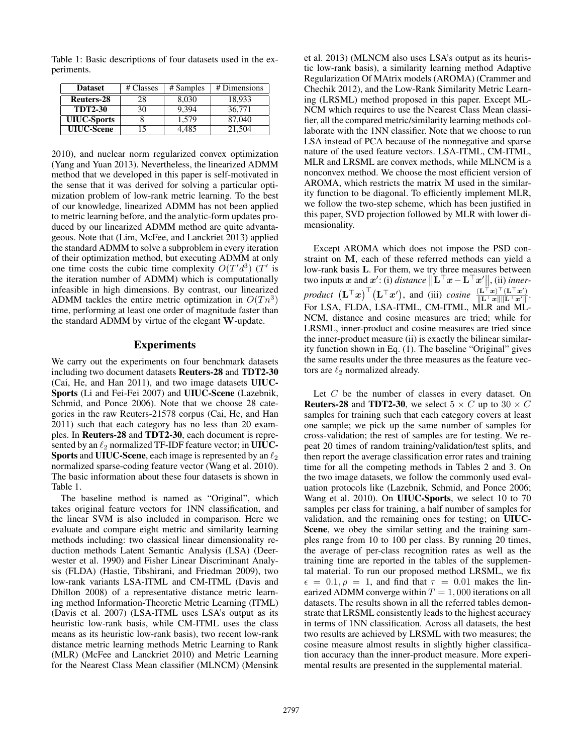Table 1: Basic descriptions of four datasets used in the experiments.

| <b>Dataset</b>     | # Classes | # Samples | # Dimensions |  |
|--------------------|-----------|-----------|--------------|--|
| Reuters-28         | 28        | 8,030     | 18,933       |  |
| <b>TDT2-30</b>     | 30        | 9.394     | 36,771       |  |
| <b>UIUC-Sports</b> |           | 1,579     | 87,040       |  |
| <b>UIUC-Scene</b>  |           | $+485$    | 21.504       |  |

2010), and nuclear norm regularized convex optimization (Yang and Yuan 2013). Nevertheless, the linearized ADMM method that we developed in this paper is self-motivated in the sense that it was derived for solving a particular optimization problem of low-rank metric learning. To the best of our knowledge, linearized ADMM has not been applied to metric learning before, and the analytic-form updates produced by our linearized ADMM method are quite advantageous. Note that (Lim, McFee, and Lanckriet 2013) applied the standard ADMM to solve a subproblem in every iteration of their optimization method, but executing ADMM at only one time costs the cubic time complexity  $O(T'd^3)$  (T' is the iteration number of ADMM) which is computationally infeasible in high dimensions. By contrast, our linearized ADMM tackles the entire metric optimization in  $O(Tn^3)$ time, performing at least one order of magnitude faster than the standard ADMM by virtue of the elegant W-update.

# Experiments

We carry out the experiments on four benchmark datasets including two document datasets Reuters-28 and TDT2-30 (Cai, He, and Han 2011), and two image datasets UIUC-Sports (Li and Fei-Fei 2007) and UIUC-Scene (Lazebnik, Schmid, and Ponce 2006). Note that we choose 28 categories in the raw Reuters-21578 corpus (Cai, He, and Han 2011) such that each category has no less than 20 examples. In Reuters-28 and TDT2-30, each document is represented by an  $\ell_2$  normalized TF-IDF feature vector; in UIUC-Sports and UIUC-Scene, each image is represented by an  $\ell_2$ normalized sparse-coding feature vector (Wang et al. 2010). The basic information about these four datasets is shown in Table 1.

The baseline method is named as "Original", which takes original feature vectors for 1NN classification, and the linear SVM is also included in comparison. Here we evaluate and compare eight metric and similarity learning methods including: two classical linear dimensionality reduction methods Latent Semantic Analysis (LSA) (Deerwester et al. 1990) and Fisher Linear Discriminant Analysis (FLDA) (Hastie, Tibshirani, and Friedman 2009), two low-rank variants LSA-ITML and CM-ITML (Davis and Dhillon 2008) of a representative distance metric learning method Information-Theoretic Metric Learning (ITML) (Davis et al. 2007) (LSA-ITML uses LSA's output as its heuristic low-rank basis, while CM-ITML uses the class means as its heuristic low-rank basis), two recent low-rank distance metric learning methods Metric Learning to Rank (MLR) (McFee and Lanckriet 2010) and Metric Learning for the Nearest Class Mean classifier (MLNCM) (Mensink

et al. 2013) (MLNCM also uses LSA's output as its heuristic low-rank basis), a similarity learning method Adaptive Regularization Of MAtrix models (AROMA) (Crammer and Chechik 2012), and the Low-Rank Similarity Metric Learning (LRSML) method proposed in this paper. Except ML-NCM which requires to use the Nearest Class Mean classifier, all the compared metric/similarity learning methods collaborate with the 1NN classifier. Note that we choose to run LSA instead of PCA because of the nonnegative and sparse nature of the used feature vectors. LSA-ITML, CM-ITML, MLR and LRSML are convex methods, while MLNCM is a nonconvex method. We choose the most efficient version of AROMA, which restricts the matrix M used in the similarity function to be diagonal. To efficiently implement MLR, we follow the two-step scheme, which has been justified in this paper, SVD projection followed by MLR with lower dimensionality.

Except AROMA which does not impose the PSD constraint on M, each of these referred methods can yield a low-rank basis L. For them, we try three measures between two inputs  $x$  and  $x'$ : (i) *distance*  $\|\mathbf{L}^\top x - \mathbf{L}^\top x'\|$ , (ii) *inner* $p$ roduct  $\left(\mathbf{L}^\top \boldsymbol{x}\right)^\top \left(\mathbf{L}^\top \boldsymbol{x}'\right)$ , and (iii)  $cosine \frac{(\mathbf{L}^\top \boldsymbol{x})^\top (\mathbf{L}^\top \boldsymbol{x}')}{\|\mathbf{L}^\top \boldsymbol{x}\| \|\mathbf{L}^\top \boldsymbol{x}'\|}$ . For LSA, FLDA, LSA-ITML, CM-ITML, MLR and ML-NCM, distance and cosine measures are tried; while for LRSML, inner-product and cosine measures are tried since the inner-product measure (ii) is exactly the bilinear similarity function shown in Eq. (1). The baseline "Original" gives the same results under the three measures as the feature vectors are  $\ell_2$  normalized already.

Let C be the number of classes in every dataset. On **Reuters-28** and **TDT2-30**, we select  $5 \times C$  up to  $30 \times C$ samples for training such that each category covers at least one sample; we pick up the same number of samples for cross-validation; the rest of samples are for testing. We repeat 20 times of random training/validation/test splits, and then report the average classification error rates and training time for all the competing methods in Tables 2 and 3. On the two image datasets, we follow the commonly used evaluation protocols like (Lazebnik, Schmid, and Ponce 2006; Wang et al. 2010). On UIUC-Sports, we select 10 to 70 samples per class for training, a half number of samples for validation, and the remaining ones for testing; on UIUC-Scene, we obey the similar setting and the training samples range from 10 to 100 per class. By running 20 times, the average of per-class recognition rates as well as the training time are reported in the tables of the supplemental material. To run our proposed method LRSML, we fix  $\epsilon = 0.1, \rho = 1$ , and find that  $\tau = 0.01$  makes the linearized ADMM converge within  $T = 1,000$  iterations on all datasets. The results shown in all the referred tables demonstrate that LRSML consistently leads to the highest accuracy in terms of 1NN classification. Across all datasets, the best two results are achieved by LRSML with two measures; the cosine measure almost results in slightly higher classification accuracy than the inner-product measure. More experimental results are presented in the supplemental material.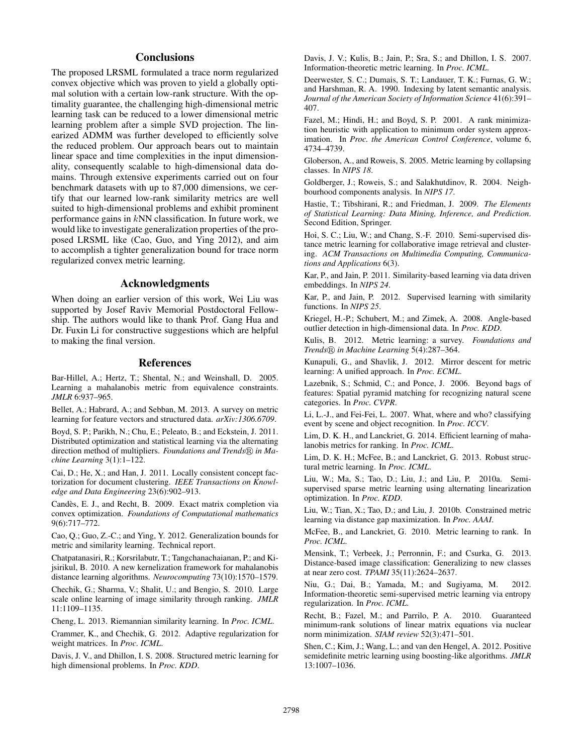# **Conclusions**

The proposed LRSML formulated a trace norm regularized convex objective which was proven to yield a globally optimal solution with a certain low-rank structure. With the optimality guarantee, the challenging high-dimensional metric learning task can be reduced to a lower dimensional metric learning problem after a simple SVD projection. The linearized ADMM was further developed to efficiently solve the reduced problem. Our approach bears out to maintain linear space and time complexities in the input dimensionality, consequently scalable to high-dimensional data domains. Through extensive experiments carried out on four benchmark datasets with up to 87,000 dimensions, we certify that our learned low-rank similarity metrics are well suited to high-dimensional problems and exhibit prominent performance gains in kNN classification. In future work, we would like to investigate generalization properties of the proposed LRSML like (Cao, Guo, and Ying 2012), and aim to accomplish a tighter generalization bound for trace norm regularized convex metric learning.

#### Acknowledgments

When doing an earlier version of this work, Wei Liu was supported by Josef Raviv Memorial Postdoctoral Fellowship. The authors would like to thank Prof. Gang Hua and Dr. Fuxin Li for constructive suggestions which are helpful to making the final version.

## References

Bar-Hillel, A.; Hertz, T.; Shental, N.; and Weinshall, D. 2005. Learning a mahalanobis metric from equivalence constraints. *JMLR* 6:937–965.

Bellet, A.; Habrard, A.; and Sebban, M. 2013. A survey on metric learning for feature vectors and structured data. *arXiv:1306.6709*.

Boyd, S. P.; Parikh, N.; Chu, E.; Peleato, B.; and Eckstein, J. 2011. Distributed optimization and statistical learning via the alternating direction method of multipliers. *Foundations and Trends® in Machine Learning* 3(1):1–122.

Cai, D.; He, X.; and Han, J. 2011. Locally consistent concept factorization for document clustering. *IEEE Transactions on Knowledge and Data Engineering* 23(6):902–913.

Candes, E. J., and Recht, B. 2009. Exact matrix completion via ` convex optimization. *Foundations of Computational mathematics* 9(6):717–772.

Cao, Q.; Guo, Z.-C.; and Ying, Y. 2012. Generalization bounds for metric and similarity learning. Technical report.

Chatpatanasiri, R.; Korsrilabutr, T.; Tangchanachaianan, P.; and Kijsirikul, B. 2010. A new kernelization framework for mahalanobis distance learning algorithms. *Neurocomputing* 73(10):1570–1579.

Chechik, G.; Sharma, V.; Shalit, U.; and Bengio, S. 2010. Large scale online learning of image similarity through ranking. *JMLR* 11:1109–1135.

Cheng, L. 2013. Riemannian similarity learning. In *Proc. ICML*.

Crammer, K., and Chechik, G. 2012. Adaptive regularization for weight matrices. In *Proc. ICML*.

Davis, J. V., and Dhillon, I. S. 2008. Structured metric learning for high dimensional problems. In *Proc. KDD*.

Davis, J. V.; Kulis, B.; Jain, P.; Sra, S.; and Dhillon, I. S. 2007. Information-theoretic metric learning. In *Proc. ICML*.

Deerwester, S. C.; Dumais, S. T.; Landauer, T. K.; Furnas, G. W.; and Harshman, R. A. 1990. Indexing by latent semantic analysis. *Journal of the American Society of Information Science* 41(6):391– 407.

Fazel, M.; Hindi, H.; and Boyd, S. P. 2001. A rank minimization heuristic with application to minimum order system approximation. In *Proc. the American Control Conference*, volume 6, 4734–4739.

Globerson, A., and Roweis, S. 2005. Metric learning by collapsing classes. In *NIPS 18*.

Goldberger, J.; Roweis, S.; and Salakhutdinov, R. 2004. Neighbourhood components analysis. In *NIPS 17*.

Hastie, T.; Tibshirani, R.; and Friedman, J. 2009. *The Elements of Statistical Learning: Data Mining, Inference, and Prediction*. Second Edition, Springer.

Hoi, S. C.; Liu, W.; and Chang, S.-F. 2010. Semi-supervised distance metric learning for collaborative image retrieval and clustering. *ACM Transactions on Multimedia Computing, Communications and Applications* 6(3).

Kar, P., and Jain, P. 2011. Similarity-based learning via data driven embeddings. In *NIPS 24*.

Kar, P., and Jain, P. 2012. Supervised learning with similarity functions. In *NIPS 25*.

Kriegel, H.-P.; Schubert, M.; and Zimek, A. 2008. Angle-based outlier detection in high-dimensional data. In *Proc. KDD*.

Kulis, B. 2012. Metric learning: a survey. *Foundations and Trends® in Machine Learning* 5(4):287-364.

Kunapuli, G., and Shavlik, J. 2012. Mirror descent for metric learning: A unified approach. In *Proc. ECML*.

Lazebnik, S.; Schmid, C.; and Ponce, J. 2006. Beyond bags of features: Spatial pyramid matching for recognizing natural scene categories. In *Proc. CVPR*.

Li, L.-J., and Fei-Fei, L. 2007. What, where and who? classifying event by scene and object recognition. In *Proc. ICCV*.

Lim, D. K. H., and Lanckriet, G. 2014. Efficient learning of mahalanobis metrics for ranking. In *Proc. ICML*.

Lim, D. K. H.; McFee, B.; and Lanckriet, G. 2013. Robust structural metric learning. In *Proc. ICML*.

Liu, W.; Ma, S.; Tao, D.; Liu, J.; and Liu, P. 2010a. Semisupervised sparse metric learning using alternating linearization optimization. In *Proc. KDD*.

Liu, W.; Tian, X.; Tao, D.; and Liu, J. 2010b. Constrained metric learning via distance gap maximization. In *Proc. AAAI*.

McFee, B., and Lanckriet, G. 2010. Metric learning to rank. In *Proc. ICML*.

Mensink, T.; Verbeek, J.; Perronnin, F.; and Csurka, G. 2013. Distance-based image classification: Generalizing to new classes at near zero cost. *TPAMI* 35(11):2624–2637.

Niu, G.; Dai, B.; Yamada, M.; and Sugiyama, M. 2012. Information-theoretic semi-supervised metric learning via entropy regularization. In *Proc. ICML*.

Recht, B.; Fazel, M.; and Parrilo, P. A. 2010. Guaranteed minimum-rank solutions of linear matrix equations via nuclear norm minimization. *SIAM review* 52(3):471–501.

Shen, C.; Kim, J.; Wang, L.; and van den Hengel, A. 2012. Positive semidefinite metric learning using boosting-like algorithms. *JMLR* 13:1007–1036.